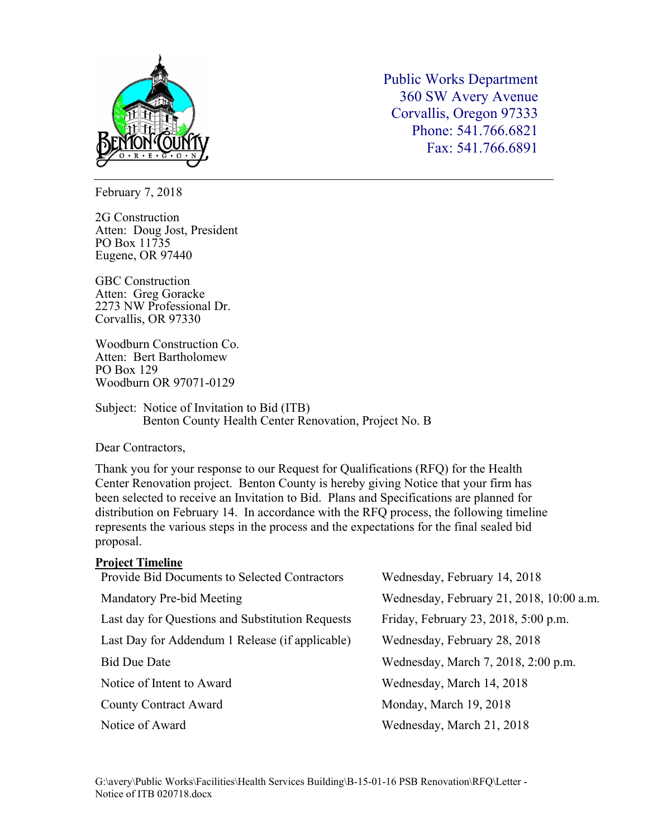

Public Works Department 360 SW Avery Avenue Corvallis, Oregon 97333 Phone: 541.766.6821 Fax: 541.766.6891

February 7, 2018

2G Construction Atten: Doug Jost, President PO Box 11735 Eugene, OR 97440

GBC Construction Atten: Greg Goracke 2273 NW Professional Dr. Corvallis, OR 97330

Woodburn Construction Co. Atten: Bert Bartholomew PO Box 129 Woodburn OR 97071-0129

Subject: Notice of Invitation to Bid (ITB) Benton County Health Center Renovation, Project No. B

Dear Contractors,

Thank you for your response to our Request for Qualifications (RFQ) for the Health Center Renovation project. Benton County is hereby giving Notice that your firm has been selected to receive an Invitation to Bid. Plans and Specifications are planned for distribution on February 14. In accordance with the RFQ process, the following timeline represents the various steps in the process and the expectations for the final sealed bid proposal.

| <b>Project Timeline</b>                          |                                          |
|--------------------------------------------------|------------------------------------------|
| Provide Bid Documents to Selected Contractors    | Wednesday, February 14, 2018             |
| Mandatory Pre-bid Meeting                        | Wednesday, February 21, 2018, 10:00 a.m. |
| Last day for Questions and Substitution Requests | Friday, February 23, 2018, 5:00 p.m.     |
| Last Day for Addendum 1 Release (if applicable)  | Wednesday, February 28, 2018             |
| <b>Bid Due Date</b>                              | Wednesday, March 7, 2018, 2:00 p.m.      |
| Notice of Intent to Award                        | Wednesday, March 14, 2018                |
| <b>County Contract Award</b>                     | Monday, March 19, 2018                   |
| Notice of Award                                  | Wednesday, March 21, 2018                |